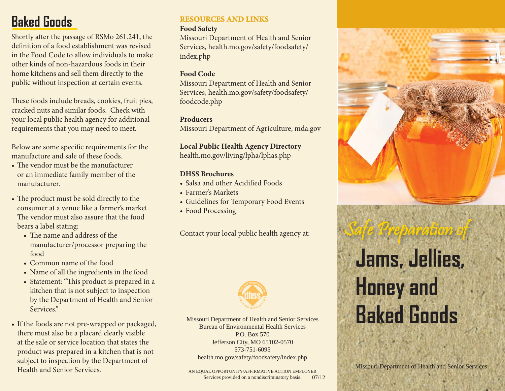# **Baked Goods**

Shortly after the passage of RSMo 261.241, the definition of a food establishment was revised in the Food Code to allow individuals to make other kinds of non-hazardous foods in their home kitchens and sell them directly to the public without inspection at certain events.

These foods include breads, cookies, fruit pies, cracked nuts and similar foods. Check with your local public health agency for additional requirements that you may need to meet.

Below are some specific requirements for the manufacture and sale of these foods.

- The vendor must be the manufacturer or an immediate family member of the manufacturer.
- The product must be sold directly to the consumer at a venue like a farmer's market. The vendor must also assure that the food bears a label stating:
	- The name and address of the manufacturer/processor preparing the food
	- Common name of the food
	- Name of all the ingredients in the food
	- Statement: "This product is prepared in a kitchen that is not subject to inspection by the Department of Health and Senior Services."
- If the foods are not pre-wrapped or packaged, there must also be a placard clearly visible at the sale or service location that states the product was prepared in a kitchen that is not subject to inspection by the Department of Health and Senior Services.

## **RESOURCES AND LINKS ESOURCES AND LINKS**

### **Food Safety**

Missouri Department of Health and Senior Services, health.mo.gov/safety/foodsafety/ index.php

## **Food Code**

Missouri Department of Health and Senior Services, health.mo.gov/safety/foodsafety/ foodcode.php

## **Producers**

Missouri Department of Agriculture, mda.gov

**Local Public Health Agency Directory** health.mo.gov/living/lpha/lphas.php

## **DHSS Brochures**

- Salsa and other Acidified Foods
- Farmer's Markets
- Guidelines for Temporary Food Events
- Food Processing

Contact your local public health agency at:



Missouri Department of Health and Senior Services Bureau of Environmental Health ServicesP.O. Box 570Jefferson City, MO 65102-0570 573-751-6095health.mo.gov/safety/foodsafety/index.php

AN EQUAL OPPORTUNITY/AFFIRMATIVE ACTION EMPLOYER Services provided on a nondiscriminatory basis. 07/12

ra tio

 $p_{\theta}$ 

# **Jams, Jellies, Honey and Baked Goods**Safe Preparation of

Missouri Department of Health and Senior Services